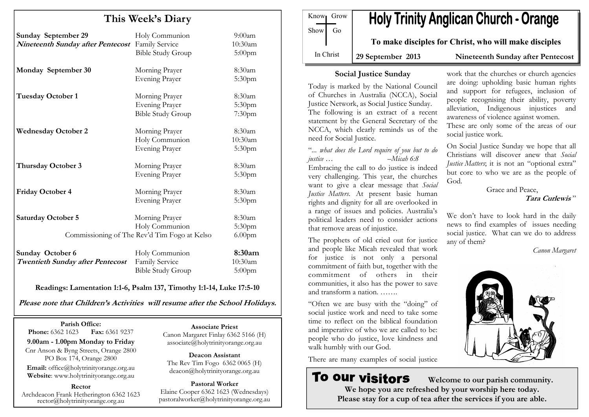| This Week's Diary |  |
|-------------------|--|
|-------------------|--|

| <b>Sunday September 29</b><br>Nineteenth Sunday after Pentecost Family Service | Holy Communion<br><b>Bible Study Group</b>   | $9:00$ am<br>10:30am<br>$5:00$ pm |
|--------------------------------------------------------------------------------|----------------------------------------------|-----------------------------------|
| Monday September 30                                                            | Morning Prayer                               | 8:30am                            |
|                                                                                | <b>Evening Prayer</b>                        | 5:30pm                            |
| <b>Tuesday October 1</b>                                                       | Morning Prayer                               | 8:30am                            |
|                                                                                | <b>Evening Prayer</b>                        | 5:30pm                            |
|                                                                                | <b>Bible Study Group</b>                     | 7:30pm                            |
| <b>Wednesday October 2</b>                                                     | Morning Prayer                               | 8:30am                            |
|                                                                                | Holy Communion                               | 10:30am                           |
|                                                                                | <b>Evening Prayer</b>                        | 5:30pm                            |
| <b>Thursday October 3</b>                                                      | Morning Prayer                               | 8:30am                            |
|                                                                                | <b>Evening Prayer</b>                        | 5:30pm                            |
| <b>Friday October 4</b>                                                        | Morning Prayer                               | 8:30am                            |
|                                                                                | <b>Evening Prayer</b>                        | 5:30pm                            |
| <b>Saturday October 5</b>                                                      | Morning Prayer                               | 8:30am                            |
|                                                                                | Holy Communion                               | 5:30pm                            |
|                                                                                | Commissioning of The Rev'd Tim Fogo at Kelso | 6.00 <sub>pm</sub>                |
| Sunday October 6                                                               | Holy Communion                               | 8:30am                            |
| <b>Twentieth Sunday after Pentecost</b>                                        | Family Service                               | 10:30am                           |

Readings: Lamentation 1:1-6, Psalm 137, Timothy 1:1-14, Luke 17:5-10

Please note that Children's Activities will resume after the School Holidays.

Parish Office: Fax: 6361 9237 **Phone:** 6362 1623 9.00am - 1.00pm Monday to Friday Cnr Anson & Byng Streets, Orange 2800 PO Box 174, Orange 2800 Email: office@holytrinityorange.org.au Website: www.holytrinityorange.org.au

Rector Archdeacon Frank Hetherington 6362 1623 rector@holytrinityorange.org.au

#### Associate Priest

Bible Study Group 5:00pm

 Canon Margaret Finlay 6362 5166 (H) associate@holytrinityorange.org.au

Deacon Assistant The Rev Tim Fogo 6362 0065 (H) deacon@holytrinityorange.org.au

Pastoral Worker Elaine Cooper 6362 1623 (Wednesdays) pastoralworker@holytrinityorange.org.au

**Holy Trinity Anglican Church - Orange** Know<sub>l</sub> Grow  $Show \mid Go$ 

To make disciples for Christ, who will make disciples

In Christ

29 September 2013 Nineteenth Sunday after Pentecost

#### Social Justice Sunday

Today is marked by the National Council of Churches in Australia (NCCA), Social Justice Network, as Social Justice Sunday. The following is an extract of a recent statement by the General Secretary of the NCCA, which clearly reminds us of the need for Social Justice.

"... what does the Lord require of you but to do justice … –Micah 6:8 Embracing the call to do justice is indeed very challenging. This year, the churches want to give a clear message that Social Justice Matters. At present basic human rights and dignity for all are overlooked in a range of issues and policies. Australia's political leaders need to consider actions that remove areas of injustice.

The prophets of old cried out for justice and people like Micah revealed that work for justice is not only a personal commitment of faith but, together with the commitment of others in their communities, it also has the power to save and transform a nation. …….

"Often we are busy with the "doing" of social justice work and need to take some time to reflect on the biblical foundation and imperative of who we are called to be: people who do justice, love kindness and walk humbly with our God.

There are many examples of social justice

# **To our visitors**

work that the churches or church agencies are doing: upholding basic human rights and support for refugees, inclusion of people recognising their ability, poverty alleviation, Indigenous injustices and awareness of violence against women. These are only some of the areas of our social justice work.

On Social Justice Sunday we hope that all Christians will discover anew that Social Justice Matters; it is not an "optional extra" but core to who we are as the people of God.

> Grace and Peace, Tara Curlewis "

We don't have to look hard in the daily news to find examples of issues needing social justice. What can we do to address any of them?

Canon Margaret



 Welcome to our parish community. We hope you are refreshed by your worship here today. Please stay for a cup of tea after the services if you are able.